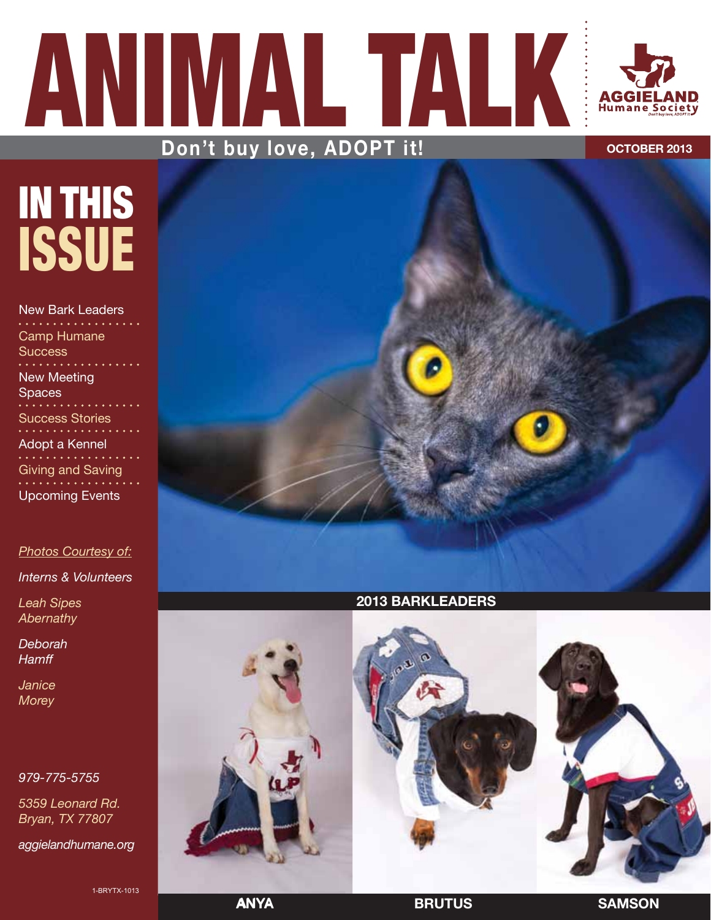# ANIMAL TALK AGGI **Humane Society** Don't buy love, ADOPT it! **Don't buy love, ADOPT it!**

# IN THIS ISSUE

New Bark Leaders Camp Humane Success New Meeting **Spaces** Success Stories<br>............. Adopt a Kennel Giving and Saving Upcoming Events

#### *Photos Courtesy of:*

*Interns & Volunteers*

*Leah Sipes Abernathy*

*Deborah Hamff*

*Janice Morey*

#### *979-775-5755*

*5359 Leonard Rd. Bryan, TX 77807*

*aggielandhumane.org*

1-BRYTX-1013



## **2013 BarkLeaders**



**Any** Anya **Brutus Samson**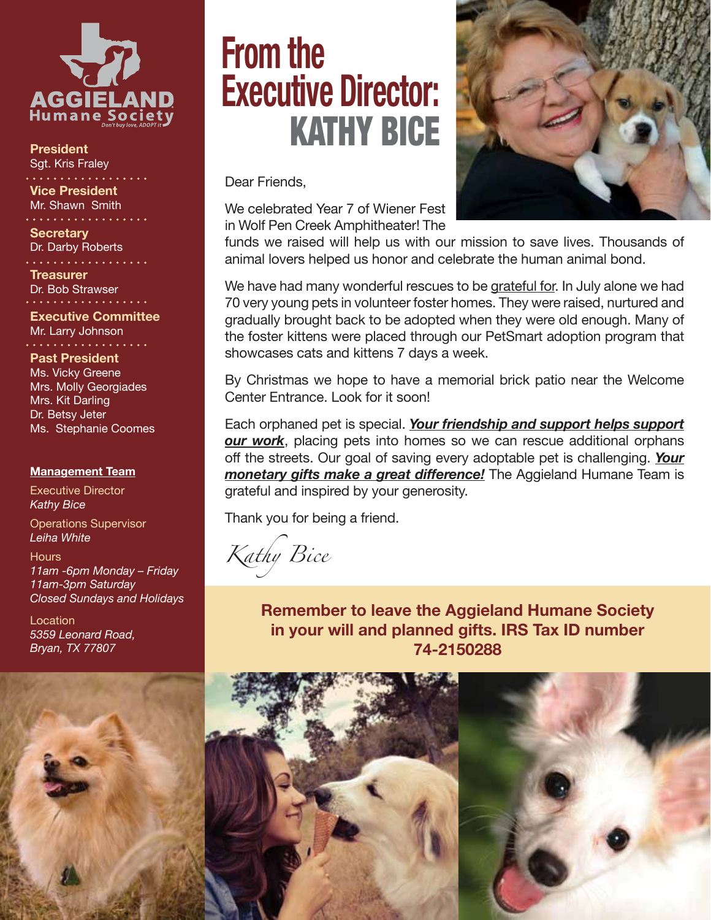

**President** Sgt. Kris Fraley . . . . . . . . . . . . . .

**Vice President** Mr. Shawn Smith . . . . . . . . . . . .

**Secretary** Dr. Darby Roberts

. . . . . . . . . . . **Treasurer** Dr. Bob Strawser

**Executive Committee** Mr. Larry Johnson

**Past President** Ms. Vicky Greene Mrs. Molly Georgiades Mrs. Kit Darling Dr. Betsy Jeter Ms. Stephanie Coomes

#### **Management Team**

Executive Director *Kathy Bice*

Operations Supervisor *Leiha White*

**Hours** *11am -6pm Monday – Friday 11am-3pm Saturday Closed Sundays and Holidays* 

**Location** *5359 Leonard Road, Bryan, TX 77807*

# **From the Executive Director:**  Kathy Bice

Dear Friends,

We celebrated Year 7 of Wiener Fest in Wolf Pen Creek Amphitheater! The



We have had many wonderful rescues to be grateful for. In July alone we had 70 very young pets in volunteer foster homes. They were raised, nurtured and gradually brought back to be adopted when they were old enough. Many of the foster kittens were placed through our PetSmart adoption program that showcases cats and kittens 7 days a week.

By Christmas we hope to have a memorial brick patio near the Welcome Center Entrance. Look for it soon!

Each orphaned pet is special. *Your friendship and support helps support our work*, placing pets into homes so we can rescue additional orphans off the streets. Our goal of saving every adoptable pet is challenging. *Your monetary gifts make a great difference!* The Aggieland Humane Team is grateful and inspired by your generosity.

Thank you for being a friend.

*Kathy Bice*

**Remember to leave the Aggieland Humane Society in your will and planned gifts. IRS Tax ID number 74-2150288**



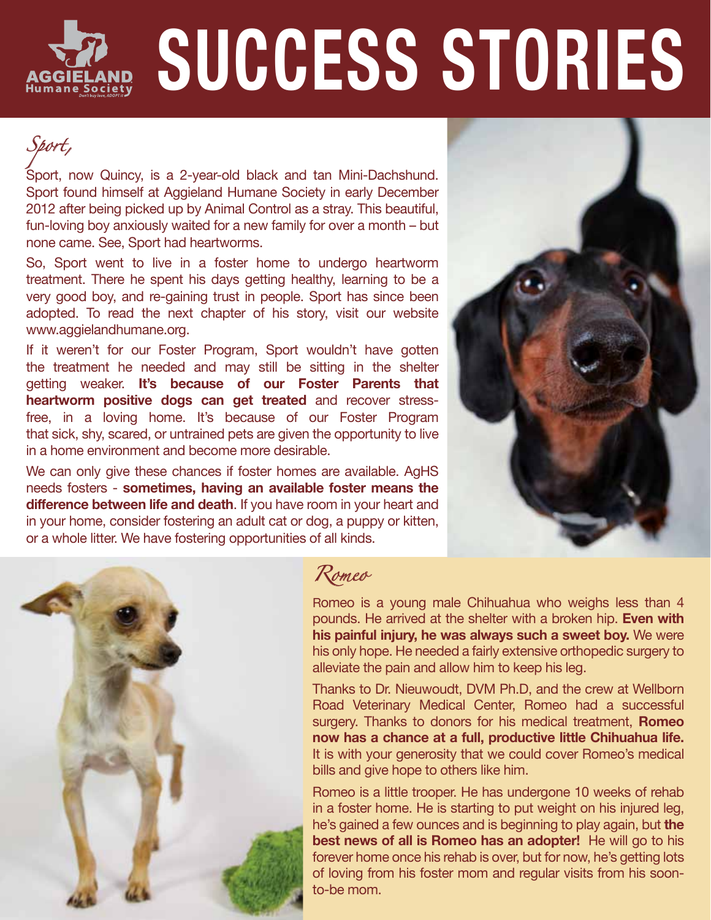# **Success Stories**

*Sport,*

Sport, now Quincy, is a 2-year-old black and tan Mini-Dachshund. Sport found himself at Aggieland Humane Society in early December 2012 after being picked up by Animal Control as a stray. This beautiful, fun-loving boy anxiously waited for a new family for over a month – but none came. See, Sport had heartworms.

So, Sport went to live in a foster home to undergo heartworm treatment. There he spent his days getting healthy, learning to be a very good boy, and re-gaining trust in people. Sport has since been adopted. To read the next chapter of his story, visit our website www.aggielandhumane.org.

If it weren't for our Foster Program, Sport wouldn't have gotten the treatment he needed and may still be sitting in the shelter getting weaker. **It's because of our Foster Parents that heartworm positive dogs can get treated** and recover stressfree, in a loving home. It's because of our Foster Program that sick, shy, scared, or untrained pets are given the opportunity to live in a home environment and become more desirable.

We can only give these chances if foster homes are available. AgHS needs fosters - **sometimes, having an available foster means the difference between life and death**. If you have room in your heart and in your home, consider fostering an adult cat or dog, a puppy or kitten, or a whole litter. We have fostering opportunities of all kinds.





# *Romeo*

Romeo is a young male Chihuahua who weighs less than 4 pounds. He arrived at the shelter with a broken hip. **Even with his painful injury, he was always such a sweet boy.** We were his only hope. He needed a fairly extensive orthopedic surgery to alleviate the pain and allow him to keep his leg.

Thanks to Dr. Nieuwoudt, DVM Ph.D, and the crew at Wellborn Road Veterinary Medical Center, Romeo had a successful surgery. Thanks to donors for his medical treatment, **Romeo now has a chance at a full, productive little Chihuahua life.** It is with your generosity that we could cover Romeo's medical bills and give hope to others like him.

Romeo is a little trooper. He has undergone 10 weeks of rehab in a foster home. He is starting to put weight on his injured leg, he's gained a few ounces and is beginning to play again, but **the best news of all is Romeo has an adopter!** He will go to his forever home once his rehab is over, but for now, he's getting lots of loving from his foster mom and regular visits from his soonto-be mom.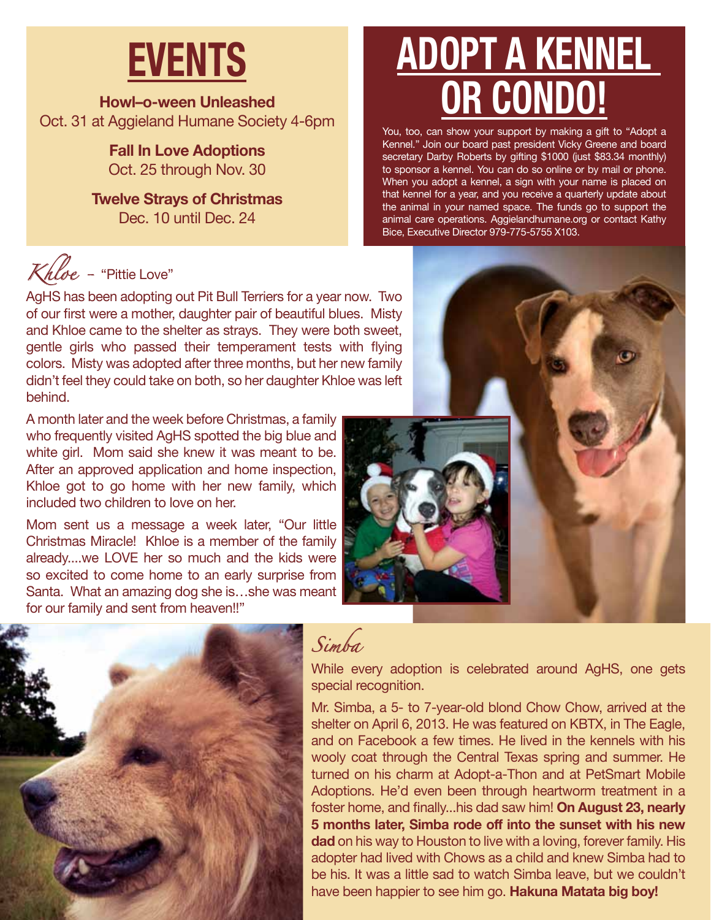# **EVENTS**

**Howl–o-ween Unleashed** Oct. 31 at Aggieland Humane Society 4-6pm

> **Fall In Love Adoptions** Oct. 25 through Nov. 30

**Twelve Strays of Christmas** Dec. 10 until Dec. 24

# *Khloe -* "Pittie Love"

AgHS has been adopting out Pit Bull Terriers for a year now. Two of our first were a mother, daughter pair of beautiful blues. Misty and Khloe came to the shelter as strays. They were both sweet, gentle girls who passed their temperament tests with flying colors. Misty was adopted after three months, but her new family didn't feel they could take on both, so her daughter Khloe was left behind.

A month later and the week before Christmas, a family who frequently visited AgHS spotted the big blue and white girl. Mom said she knew it was meant to be. After an approved application and home inspection, Khloe got to go home with her new family, which included two children to love on her.

Mom sent us a message a week later, "Our little Christmas Miracle! Khloe is a member of the family already....we LOVE her so much and the kids were so excited to come home to an early surprise from Santa. What an amazing dog she is…she was meant for our family and sent from heaven!!"

# **Adopt a Kennel or Condo!**

You, too, can show your support by making a gift to "Adopt a Kennel." Join our board past president Vicky Greene and board secretary Darby Roberts by gifting \$1000 (just \$83.34 monthly) to sponsor a kennel. You can do so online or by mail or phone. When you adopt a kennel, a sign with your name is placed on that kennel for a year, and you receive a quarterly update about the animal in your named space. The funds go to support the animal care operations. Aggielandhumane.org or contact Kathy Bice, Executive Director 979-775-5755 X103.





# *Simba*

While every adoption is celebrated around AgHS, one gets special recognition.

Mr. Simba, a 5- to 7-year-old blond Chow Chow, arrived at the shelter on April 6, 2013. He was featured on KBTX, in The Eagle, and on Facebook a few times. He lived in the kennels with his wooly coat through the Central Texas spring and summer. He turned on his charm at Adopt-a-Thon and at PetSmart Mobile Adoptions. He'd even been through heartworm treatment in a foster home, and finally...his dad saw him! **On August 23, nearly 5 months later, Simba rode off into the sunset with his new dad** on his way to Houston to live with a loving, forever family. His adopter had lived with Chows as a child and knew Simba had to be his. It was a little sad to watch Simba leave, but we couldn't have been happier to see him go. **Hakuna Matata big boy!**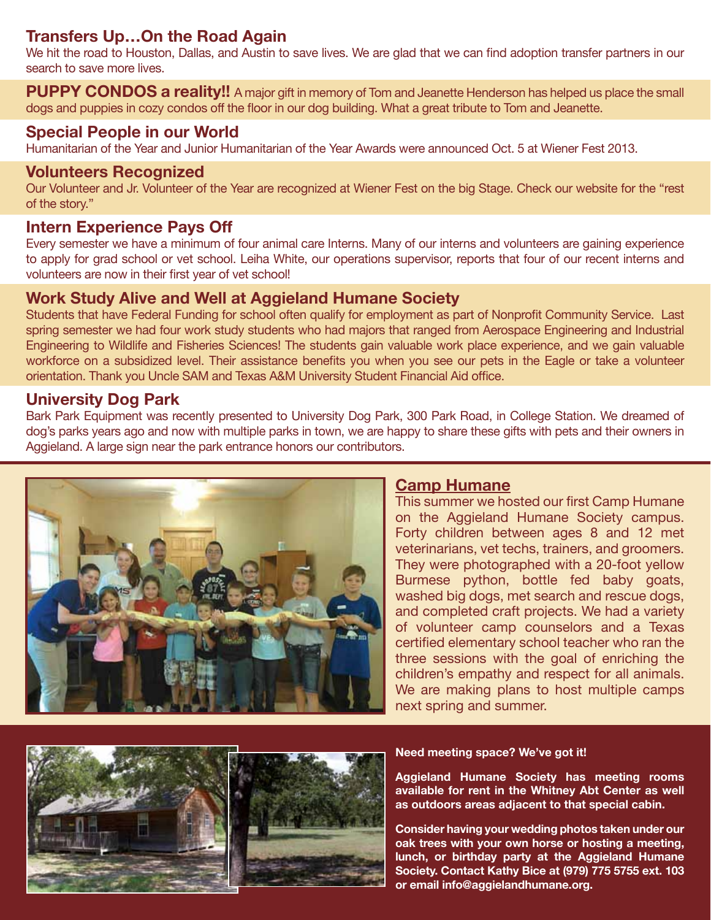# **Transfers Up…On the Road Again**

We hit the road to Houston, Dallas, and Austin to save lives. We are glad that we can find adoption transfer partners in our search to save more lives.

**PUPPY CONDOS a reality!!** A major gift in memory of Tom and Jeanette Henderson has helped us place the small dogs and puppies in cozy condos off the floor in our dog building. What a great tribute to Tom and Jeanette.

### **Special People in our World**

Humanitarian of the Year and Junior Humanitarian of the Year Awards were announced Oct. 5 at Wiener Fest 2013.

#### **Volunteers Recognized**

Our Volunteer and Jr. Volunteer of the Year are recognized at Wiener Fest on the big Stage. Check our website for the "rest of the story."

### **Intern Experience Pays Off**

Every semester we have a minimum of four animal care Interns. Many of our interns and volunteers are gaining experience to apply for grad school or vet school. Leiha White, our operations supervisor, reports that four of our recent interns and volunteers are now in their first year of vet school!

## **Work Study Alive and Well at Aggieland Humane Society**

Students that have Federal Funding for school often qualify for employment as part of Nonprofit Community Service. Last spring semester we had four work study students who had majors that ranged from Aerospace Engineering and Industrial Engineering to Wildlife and Fisheries Sciences! The students gain valuable work place experience, and we gain valuable workforce on a subsidized level. Their assistance benefits you when you see our pets in the Eagle or take a volunteer orientation. Thank you Uncle SAM and Texas A&M University Student Financial Aid office.

### **University Dog Park**

Bark Park Equipment was recently presented to University Dog Park, 300 Park Road, in College Station. We dreamed of dog's parks years ago and now with multiple parks in town, we are happy to share these gifts with pets and their owners in Aggieland. A large sign near the park entrance honors our contributors.



## **Camp Humane**

This summer we hosted our first Camp Humane on the Aggieland Humane Society campus. Forty children between ages 8 and 12 met veterinarians, vet techs, trainers, and groomers. They were photographed with a 20-foot yellow Burmese python, bottle fed baby goats, washed big dogs, met search and rescue dogs, and completed craft projects. We had a variety of volunteer camp counselors and a Texas certified elementary school teacher who ran the three sessions with the goal of enriching the children's empathy and respect for all animals. We are making plans to host multiple camps next spring and summer.



#### **Need meeting space? We've got it!**

**Aggieland Humane Society has meeting rooms available for rent in the Whitney Abt Center as well as outdoors areas adjacent to that special cabin.**

**Consider having your wedding photos taken under our oak trees with your own horse or hosting a meeting, lunch, or birthday party at the Aggieland Humane Society. Contact Kathy Bice at (979) 775 5755 ext. 103 or email info@aggielandhumane.org.**